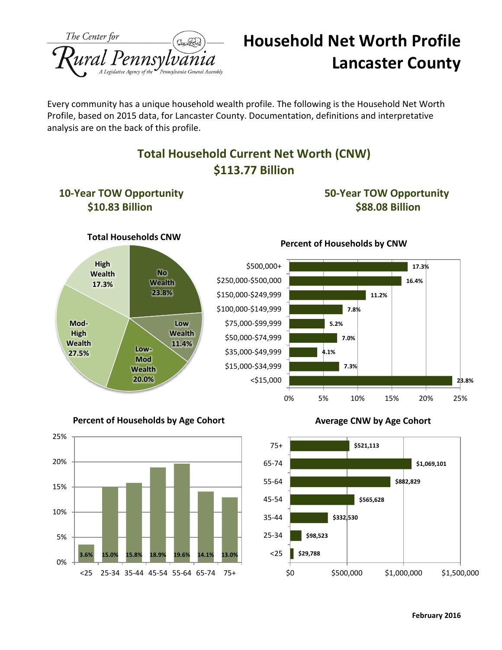

# **Household Net Worth Profile Lancaster County**

Every community has a unique household wealth profile. The following is the Household Net Worth Profile, based on 2015 data, for Lancaster County. Documentation, definitions and interpretative analysis are on the back of this profile.

### **Total Household Current Net Worth (CNW) \$113.77 Billion**



**Percent of Households by Age Cohort**



#### **Average CNW by Age Cohort**



**23.8%**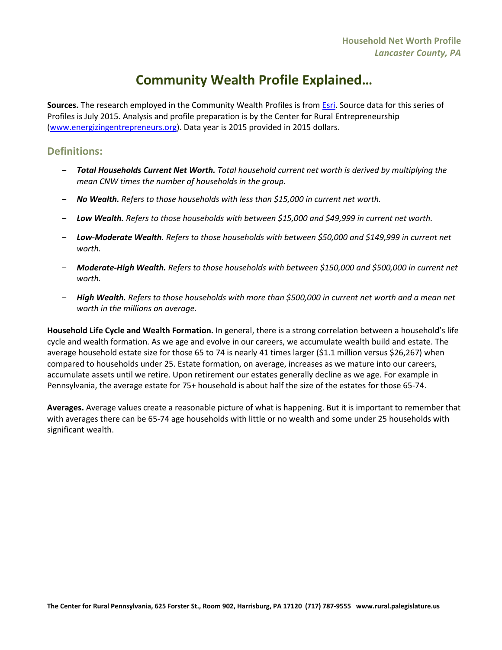## **Community Wealth Profile Explained…**

**Sources.** The research employed in the Community Wealth Profiles is from [Esri.](http://www.esri.com/) Source data for this series of Profiles is July 2015. Analysis and profile preparation is by the Center for Rural Entrepreneurship [\(www.energizingentrepreneurs.org\)](http://www.energizingentrepreneurs.org/). Data year is 2015 provided in 2015 dollars.

### **Definitions:**

- ‒ *Total Households Current Net Worth. Total household current net worth is derived by multiplying the mean CNW times the number of households in the group.*
- ‒ *No Wealth. Refers to those households with less than \$15,000 in current net worth.*
- ‒ *Low Wealth. Refers to those households with between \$15,000 and \$49,999 in current net worth.*
- ‒ *Low-Moderate Wealth. Refers to those households with between \$50,000 and \$149,999 in current net worth.*
- ‒ *Moderate-High Wealth. Refers to those households with between \$150,000 and \$500,000 in current net worth.*
- ‒ *High Wealth. Refers to those households with more than \$500,000 in current net worth and a mean net worth in the millions on average.*

**Household Life Cycle and Wealth Formation.** In general, there is a strong correlation between a household's life cycle and wealth formation. As we age and evolve in our careers, we accumulate wealth build and estate. The average household estate size for those 65 to 74 is nearly 41 times larger (\$1.1 million versus \$26,267) when compared to households under 25. Estate formation, on average, increases as we mature into our careers, accumulate assets until we retire. Upon retirement our estates generally decline as we age. For example in Pennsylvania, the average estate for 75+ household is about half the size of the estates for those 65-74.

**Averages.** Average values create a reasonable picture of what is happening. But it is important to remember that with averages there can be 65-74 age households with little or no wealth and some under 25 households with significant wealth.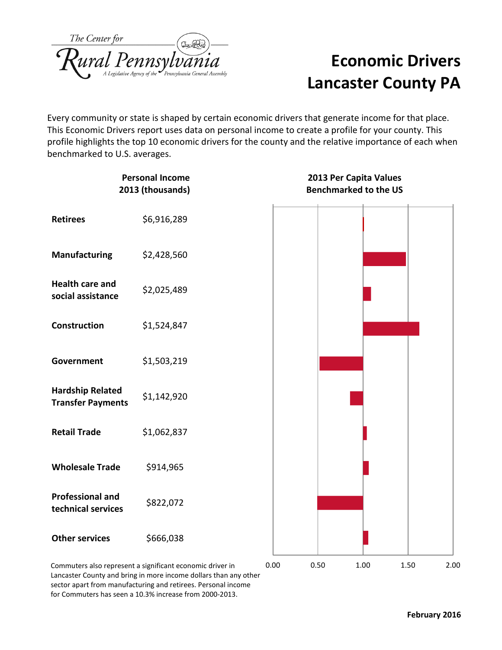| The Center for |                                     |
|----------------|-------------------------------------|
|                | Rural Pennsylvania General Assembly |

# **Economic Drivers Lancaster County PA**

Every community or state is shaped by certain economic drivers that generate income for that place. This Economic Drivers report uses data on personal income to create a profile for your county. This profile highlights the top 10 economic drivers for the county and the relative importance of each when benchmarked to U.S. averages.

| <b>Personal Income</b><br>2013 (thousands)                |             | 2013 Per Capita Values<br><b>Benchmarked to the US</b> |      |      |      |      |  |
|-----------------------------------------------------------|-------------|--------------------------------------------------------|------|------|------|------|--|
| <b>Retirees</b>                                           | \$6,916,289 |                                                        |      |      |      |      |  |
| <b>Manufacturing</b>                                      | \$2,428,560 |                                                        |      |      |      |      |  |
| <b>Health care and</b><br>social assistance               | \$2,025,489 |                                                        |      |      |      |      |  |
| Construction                                              | \$1,524,847 |                                                        |      |      |      |      |  |
| Government                                                | \$1,503,219 |                                                        |      |      |      |      |  |
| <b>Hardship Related</b><br><b>Transfer Payments</b>       | \$1,142,920 |                                                        |      |      |      |      |  |
| <b>Retail Trade</b>                                       | \$1,062,837 |                                                        |      |      |      |      |  |
| <b>Wholesale Trade</b>                                    | \$914,965   |                                                        |      |      |      |      |  |
| <b>Professional and</b><br>technical services             | \$822,072   |                                                        |      |      |      |      |  |
| <b>Other services</b>                                     | \$666,038   |                                                        |      |      |      |      |  |
| Commuters also represent a significant economic driver in |             | 0.00                                                   | 0.50 | 1.00 | 1.50 | 2.00 |  |

Commuters also represent a significant economic driver in Lancaster County and bring in more income dollars than any other sector apart from manufacturing and retirees. Personal income for Commuters has seen a 10.3% increase from 2000-2013.